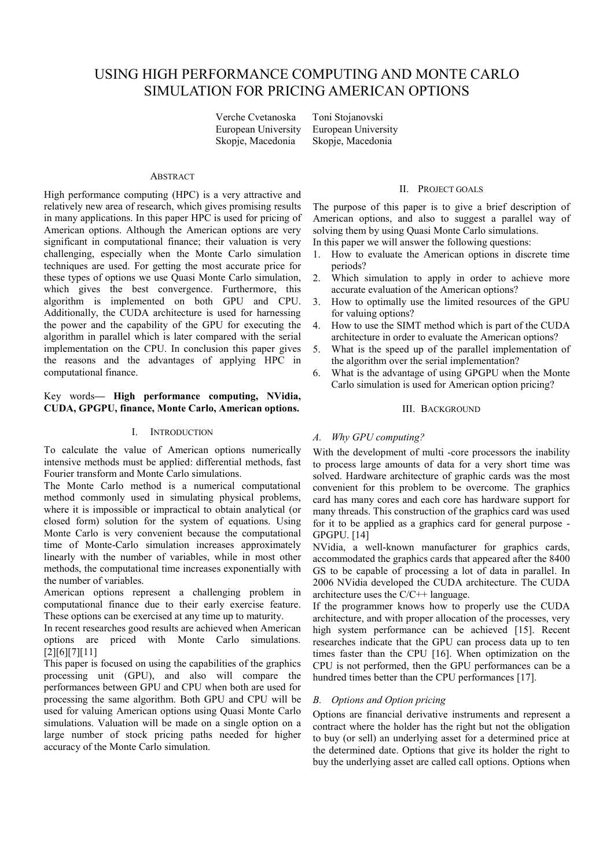# USING HIGH PERFORMANCE COMPUTING AND MONTE CARLO SIMULATION FOR PRICING AMERICAN OPTIONS

Verche Cvetanoska Toni Stojanovski Skopje, Macedonia Skopje, Macedonia

European University European University

# **ABSTRACT**

High performance computing (HPC) is a very attractive and relatively new area of research, which gives promising results in many applications. In this paper HPC is used for pricing of American options. Although the American options are very significant in computational finance; their valuation is very challenging, especially when the Monte Carlo simulation techniques are used. For getting the most accurate price for these types of options we use Quasi Monte Carlo simulation, which gives the best convergence. Furthermore, this algorithm is implemented on both GPU and CPU. Additionally, the CUDA architecture is used for harnessing the power and the capability of the GPU for executing the algorithm in parallel which is later compared with the serial implementation on the CPU. In conclusion this paper gives the reasons and the advantages of applying HPC in computational finance.

## Key words**— High performance computing, NVidia, CUDA, GPGPU, finance, Monte Carlo, American options.**

## I. INTRODUCTION

To calculate the value of American options numerically intensive methods must be applied: differential methods, fast Fourier transform and Monte Carlo simulations.

The Monte Carlo method is a numerical computational method commonly used in simulating physical problems, where it is impossible or impractical to obtain analytical (or closed form) solution for the system of equations. Using Monte Carlo is very convenient because the computational time of Monte-Carlo simulation increases approximately linearly with the number of variables, while in most other methods, the computational time increases exponentially with the number of variables.

American options represent a challenging problem in computational finance due to their early exercise feature. These options can be exercised at any time up to maturity.

In recent researches good results are achieved when American options are priced with Monte Carlo simulations. [2][6][7][11]

This paper is focused on using the capabilities of the graphics processing unit (GPU), and also will compare the performances between GPU and CPU when both are used for processing the same algorithm. Both GPU and CPU will be used for valuing American options using Quasi Monte Carlo simulations. Valuation will be made on a single option on a large number of stock pricing paths needed for higher accuracy of the Monte Carlo simulation.

## II. PROJECT GOALS

The purpose of this paper is to give a brief description of American options, and also to suggest a parallel way of solving them by using Quasi Monte Carlo simulations. In this paper we will answer the following questions:

- 1. How to evaluate the American options in discrete time periods?
- 2. Which simulation to apply in order to achieve more accurate evaluation of the American options?
- 3. How to optimally use the limited resources of the GPU for valuing options?
- 4. How to use the SIMT method which is part of the CUDA architecture in order to evaluate the American options?
- 5. What is the speed up of the parallel implementation of the algorithm over the serial implementation?
- 6. What is the advantage of using GPGPU when the Monte Carlo simulation is used for American option pricing?

## III. BACKGROUND

# *A. Why GPU computing?*

With the development of multi -core processors the inability to process large amounts of data for a very short time was solved. Hardware architecture of graphic cards was the most convenient for this problem to be overcome. The graphics card has many cores and each core has hardware support for many threads. This construction of the graphics card was used for it to be applied as a graphics card for general purpose - GPGPU. [14]

NVidia, a well-known manufacturer for graphics cards, accommodated the graphics cards that appeared after the 8400 GS to be capable of processing a lot of data in parallel. In 2006 NVidia developed the CUDA architecture. The CUDA architecture uses the C/C++ language.

If the programmer knows how to properly use the CUDA architecture, and with proper allocation of the processes, very high system performance can be achieved [15]. Recent researches indicate that the GPU can process data up to ten times faster than the CPU [16]. When optimization on the CPU is not performed, then the GPU performances can be a hundred times better than the CPU performances [17].

# *B. Options and Option pricing*

Options are financial derivative instruments and represent a contract where the holder has the right but not the obligation to buy (or sell) an underlying asset for a determined price at the determined date. Options that give its holder the right to buy the underlying asset are called call options. Options when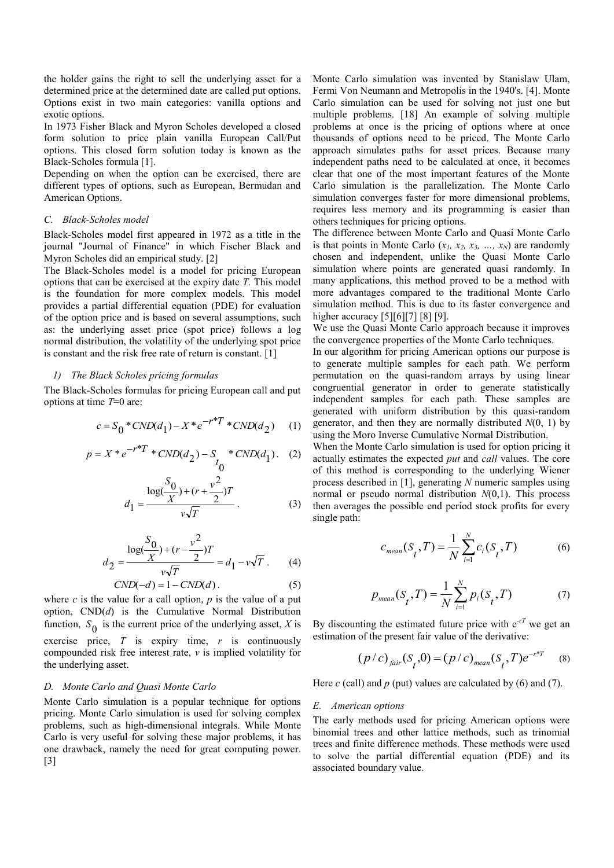the holder gains the right to sell the underlying asset for a determined price at the determined date are called put options. Options exist in two main categories: vanilla options and exotic options.

In 1973 Fisher Black and Myron Scholes developed a closed form solution to price plain vanilla European Call/Put options. This closed form solution today is known as the Black-Scholes formula [1].

Depending on when the option can be exercised, there are different types of options, such as European, Bermudan and American Options.

# *C. Black-Scholes model*

Black-Scholes model first appeared in 1972 as a title in the journal "Journal of Finance" in which Fischer Black and Myron Scholes did an empirical study. [2]

The Black-Scholes model is a model for pricing European options that can be exercised at the expiry date *T*. This model is the foundation for more complex models. This model provides a partial differential equation (PDE) for evaluation of the option price and is based on several assumptions, such as: the underlying asset price (spot price) follows a log normal distribution, the volatility of the underlying spot price is constant and the risk free rate of return is constant. [1]

#### *1) The Black Scholes pricing formulas*

The Black-Scholes formulas for pricing European call and put options at time *T*=0 are:

$$
c = S_0 * CND(d_1) - X * e^{-r*T} * CND(d_2)
$$
 (1)

$$
p = X * e^{-r*T} * CND(d_2) - S_{t_0} * CND(d_1). (2)
$$

$$
d_1 = \frac{\log(\frac{S_0}{X}) + (r + \frac{v^2}{2})T}{v\sqrt{T}}.
$$
 (3)

$$
d_2 = \frac{\log(\frac{S_0}{X}) + (r - \frac{v^2}{2})T}{v\sqrt{T}} = d_1 - v\sqrt{T}.
$$
 (4)

$$
CND(-d) = 1 - CND(d). \tag{5}
$$

where  $c$  is the value for a call option,  $p$  is the value of a put option, CND(*d*) is the Cumulative Normal Distribution function,  $S_0$  is the current price of the underlying asset, *X* is exercise price, *T* is expiry time, *r* is continuously compounded risk free interest rate, *v* is implied volatility for the underlying asset.

## *D. Monte Carlo and Quasi Monte Carlo*

Monte Carlo simulation is a popular technique for options pricing. Monte Carlo simulation is used for solving complex problems, such as high-dimensional integrals. While Monte Carlo is very useful for solving these major problems, it has one drawback, namely the need for great computing power. [3]

Monte Carlo simulation was invented by Stanislaw Ulam, Fermi Von Neumann and Metropolis in the 1940's. [4]. Monte Carlo simulation can be used for solving not just one but multiple problems. [18] An example of solving multiple problems at once is the pricing of options where at once thousands of options need to be priced. The Monte Carlo approach simulates paths for asset prices. Because many independent paths need to be calculated at once, it becomes clear that one of the most important features of the Monte Carlo simulation is the parallelization. The Monte Carlo simulation converges faster for more dimensional problems, requires less memory and its programming is easier than others techniques for pricing options.

The difference between Monte Carlo and Quasi Monte Carlo is that points in Monte Carlo  $(x_1, x_2, x_3, \ldots, x_N)$  are randomly chosen and independent, unlike the Quasi Monte Carlo simulation where points are generated quasi randomly. In many applications, this method proved to be a method with more advantages compared to the traditional Monte Carlo simulation method. This is due to its faster convergence and higher accuracy [5][6][7] [8] [9].

We use the Quasi Monte Carlo approach because it improves the convergence properties of the Monte Carlo techniques.

In our algorithm for pricing American options our purpose is to generate multiple samples for each path. We perform permutation on the quasi-random arrays by using linear congruential generator in order to generate statistically independent samples for each path. These samples are generated with uniform distribution by this quasi-random generator, and then they are normally distributed *N*(0, 1) by using the Moro Inverse Cumulative Normal Distribution.

When the Monte Carlo simulation is used for option pricing it actually estimates the expected *put* and *call* values. The core of this method is corresponding to the underlying Wiener process described in [1], generating *N* numeric samples using normal or pseudo normal distribution *N*(0,1). This process then averages the possible end period stock profits for every single path:

$$
c_{mean}(S_t, T) = \frac{1}{N} \sum_{i=1}^{N} c_i(S_t, T)
$$
 (6)

$$
p_{mean}(S_t, T) = \frac{1}{N} \sum_{i=1}^{N} p_i(S_t, T)
$$
 (7)

By discounting the estimated future price with  $e^{-rT}$  we get an estimation of the present fair value of the derivative:

$$
(p/c)_{fair}(S_t, 0) = (p/c)_{mean}(S_t, T)e^{-r*T}
$$
 (8)

Here  $c$  (call) and  $p$  (put) values are calculated by (6) and (7).

## *E. American options*

The early methods used for pricing American options were binomial trees and other lattice methods, such as trinomial trees and finite difference methods. These methods were used to solve the partial differential equation (PDE) and its associated boundary value.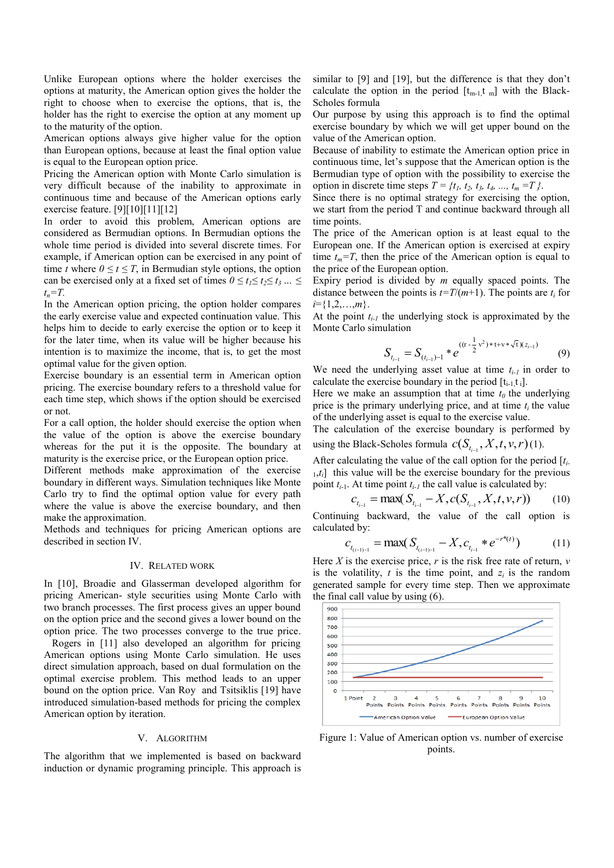Unlike European options where the holder exercises the options at maturity, the American option gives the holder the right to choose when to exercise the options, that is, the holder has the right to exercise the option at any moment up to the maturity of the option.

American options always give higher value for the option than European options, because at least the final option value is equal to the European option price.

Pricing the American option with Monte Carlo simulation is very difficult because of the inability to approximate in continuous time and because of the American options early exercise feature. [9][10][11][12]

In order to avoid this problem, American options are considered as Bermudian options. In Bermudian options the whole time period is divided into several discrete times. For example, if American option can be exercised in any point of time *t* where  $0 \le t \le T$ , in Bermudian style options, the option can be exercised only at a fixed set of times  $0 \le t_1 \le t_2 \le t_3 ... \le$ *tn=T.*

In the American option pricing, the option holder compares the early exercise value and expected continuation value. This helps him to decide to early exercise the option or to keep it for the later time, when its value will be higher because his intention is to maximize the income, that is, to get the most optimal value for the given option.

Exercise boundary is an essential term in American option pricing. The exercise boundary refers to a threshold value for each time step, which shows if the option should be exercised or not.

For a call option, the holder should exercise the option when the value of the option is above the exercise boundary whereas for the put it is the opposite. The boundary at maturity is the exercise price, or the European option price.

Different methods make approximation of the exercise boundary in different ways. Simulation techniques like Monte Carlo try to find the optimal option value for every path where the value is above the exercise boundary, and then make the approximation.

Methods and techniques for pricing American options are described in section IV.

# IV. RELATED WORK

In [10], Broadie and Glasserman developed algorithm for pricing American- style securities using Monte Carlo with two branch processes. The first process gives an upper bound on the option price and the second gives a lower bound on the option price. The two processes converge to the true price.

Rogers in [11] also developed an algorithm for pricing American options using Monte Carlo simulation. He uses direct simulation approach, based on dual formulation on the optimal exercise problem. This method leads to an upper bound on the option price. Van Roy and Tsitsiklis [19] have introduced simulation-based methods for pricing the complex American option by iteration.

## V. ALGORITHM

The algorithm that we implemented is based on backward induction or dynamic programing principle. This approach is similar to [9] and [19], but the difference is that they don't calculate the option in the period  $[t_{m-1}, t_m]$  with the Black-Scholes formula

Our purpose by using this approach is to find the optimal exercise boundary by which we will get upper bound on the value of the American option.

Because of inability to estimate the American option price in continuous time, let's suppose that the American option is the Bermudian type of option with the possibility to exercise the option in discrete time steps *T = {t1, t2, t3, t4, ..., t<sup>m</sup> =T }*.

Since there is no optimal strategy for exercising the option, we start from the period T and continue backward through all time points.

The price of the American option is at least equal to the European one. If the American option is exercised at expiry time  $t_m = T$ , then the price of the American option is equal to the price of the European option.

Expiry period is divided by *m* equally spaced points. The distance between the points is  $t=T/(m+1)$ . The points are  $t_i$  for *i*={1,2,…,*m*}.

At the point  $t_{i-1}$  the underlying stock is approximated by the Monte Carlo simulation

$$
S_{t_{i-1}} = S_{(t_{i-1})-1} * e^{((\mathbf{r} - \frac{1}{2}v^2) * \mathbf{t} + v * \sqrt{\mathbf{t}})(z_{i-1})}
$$
(9)

We need the underlying asset value at time *ti-1* in order to calculate the exercise boundary in the period  $[t_{i-1}, t_{i}].$ 

Here we make an assumption that at time  $t_0$  the underlying price is the primary underlying price, and at time  $t_i$  the value of the underlying asset is equal to the exercise value.

The calculation of the exercise boundary is performed by using the Black-Scholes formula  $c(S_{t_{i-1}}, X, t, v, r)$  (1).

After calculating the value of the call option for the period [*ti*-<sup>1</sup>,*ti*] this value will be the exercise boundary for the previous point  $t_{i-1}$ . At time point  $t_{i-1}$  the call value is calculated by:

$$
c_{t_{i-1}} = \max(S_{t_{i-1}} - X, c(S_{t_{i-1}}, X, t, v, r)) \tag{10}
$$

Continuing backward, the value of the call option is calculated by:

$$
c_{t_{(i-1)-1}} = \max(S_{t_{(i-1)-1}} - X, c_{t_{i-1}} * e^{-r^{*}(t)})
$$
(11)

Here *X* is the exercise price, *r* is the risk free rate of return, *v* is the volatility,  $t$  is the time point, and  $z_i$  is the random generated sample for every time step. Then we approximate the final call value by using (6).



Figure 1: Value of American option vs. number of exercise points.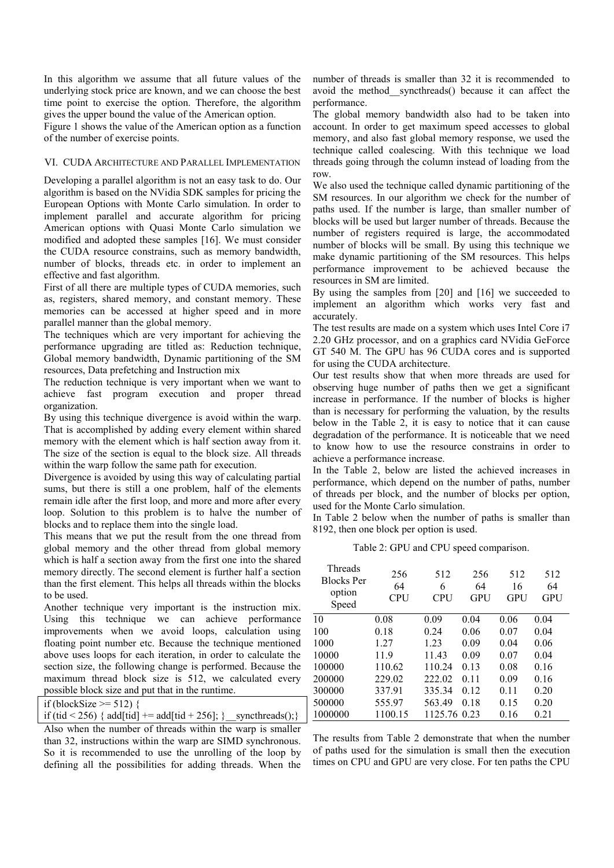In this algorithm we assume that all future values of the underlying stock price are known, and we can choose the best time point to exercise the option. Therefore, the algorithm gives the upper bound the value of the American option.

Figure 1 shows the value of the American option as a function of the number of exercise points.

# VI. CUDA ARCHITECTURE AND PARALLEL IMPLEMENTATION

Developing a parallel algorithm is not an easy task to do. Our algorithm is based on the NVidia SDK samples for pricing the European Options with Monte Carlo simulation. In order to implement parallel and accurate algorithm for pricing American options with Quasi Monte Carlo simulation we modified and adopted these samples [16]. We must consider the CUDA resource constrains, such as memory bandwidth, number of blocks, threads etc. in order to implement an effective and fast algorithm.

First of all there are multiple types of CUDA memories, such as, registers, shared memory, and constant memory. These memories can be accessed at higher speed and in more parallel manner than the global memory.

The techniques which are very important for achieving the performance upgrading are titled as: Reduction technique, Global memory bandwidth, Dynamic partitioning of the SM resources, Data prefetching and Instruction mix

The reduction technique is very important when we want to achieve fast program execution and proper thread organization.

By using this technique divergence is avoid within the warp. That is accomplished by adding every element within shared memory with the element which is half section away from it. The size of the section is equal to the block size. All threads within the warp follow the same path for execution.

Divergence is avoided by using this way of calculating partial sums, but there is still a one problem, half of the elements remain idle after the first loop, and more and more after every loop. Solution to this problem is to halve the number of blocks and to replace them into the single load.

This means that we put the result from the one thread from global memory and the other thread from global memory which is half a section away from the first one into the shared memory directly. The second element is further half a section than the first element. This helps all threads within the blocks to be used.

Another technique very important is the instruction mix. Using this technique we can achieve performance improvements when we avoid loops, calculation using floating point number etc. Because the technique mentioned above uses loops for each iteration, in order to calculate the section size, the following change is performed. Because the maximum thread block size is 512, we calculated every possible block size and put that in the runtime.

|  | if (blockSize $\ge$ = 512) { |  |
|--|------------------------------|--|
|--|------------------------------|--|

|  |  |  |  | if (tid < 256) { add[tid] += add[tid + 256]; } _ syncthreads();} |
|--|--|--|--|------------------------------------------------------------------|
|--|--|--|--|------------------------------------------------------------------|

Also when the number of threads within the warp is smaller than 32, instructions within the warp are SIMD synchronous. So it is recommended to use the unrolling of the loop by defining all the possibilities for adding threads. When the

number of threads is smaller than 32 it is recommended to avoid the method\_\_syncthreads() because it can affect the performance.

The global memory bandwidth also had to be taken into account. In order to get maximum speed accesses to global memory, and also fast global memory response, we used the technique called coalescing. With this technique we load threads going through the column instead of loading from the row.

We also used the technique called dynamic partitioning of the SM resources. In our algorithm we check for the number of paths used. If the number is large, than smaller number of blocks will be used but larger number of threads. Because the number of registers required is large, the accommodated number of blocks will be small. By using this technique we make dynamic partitioning of the SM resources. This helps performance improvement to be achieved because the resources in SM are limited.

By using the samples from [20] and [16] we succeeded to implement an algorithm which works very fast and accurately.

The test results are made on a system which uses Intel Core i7 2.20 GHz processor, and on a graphics card NVidia GeForce GT 540 M. The GPU has 96 CUDA cores and is supported for using the CUDA architecture.

Our test results show that when more threads are used for observing huge number of paths then we get a significant increase in performance. If the number of blocks is higher than is necessary for performing the valuation, by the results below in the Table 2, it is easy to notice that it can cause degradation of the performance. It is noticeable that we need to know how to use the resource constrains in order to achieve a performance increase.

In the Table 2, below are listed the achieved increases in performance, which depend on the number of paths, number of threads per block, and the number of blocks per option, used for the Monte Carlo simulation.

In Table 2 below when the number of paths is smaller than 8192, then one block per option is used.

Table 2: GPU and CPU speed comparison.

| <b>Threads</b><br><b>Blocks</b> Per<br>option<br>Speed | 256<br>64<br><b>CPU</b> | 512<br>6<br><b>CPU</b> | 256<br>64<br><b>GPU</b> | 512<br>16<br><b>GPU</b> | 512<br>64<br>GPU |
|--------------------------------------------------------|-------------------------|------------------------|-------------------------|-------------------------|------------------|
| 10                                                     | 0.08                    | 0.09                   | 0.04                    | 0.06                    | 0.04             |
| 100                                                    | 0.18                    | 0.24                   | 0.06                    | 0.07                    | 0.04             |
| 1000                                                   | 1.27                    | 123                    | 0.09                    | 0.04                    | 0.06             |
| 10000                                                  | 11.9                    | 11.43                  | 0.09                    | 0.07                    | 0.04             |
| 100000                                                 | 110.62                  | 110.24                 | 0.13                    | 0.08                    | 0.16             |
| 200000                                                 | 229.02                  | 222.02                 | 011                     | 0.09                    | 0.16             |
| 300000                                                 | 337.91                  | 335.34                 | 0.12                    | 0.11                    | 0.20             |
| 500000                                                 | 555.97                  | 563.49                 | 0.18                    | 0.15                    | 0.20             |
| 1000000                                                | 1100.15                 | 1125.76 0.23           |                         | 0.16                    | 0.21             |

The results from Table 2 demonstrate that when the number of paths used for the simulation is small then the execution times on CPU and GPU are very close. For ten paths the CPU